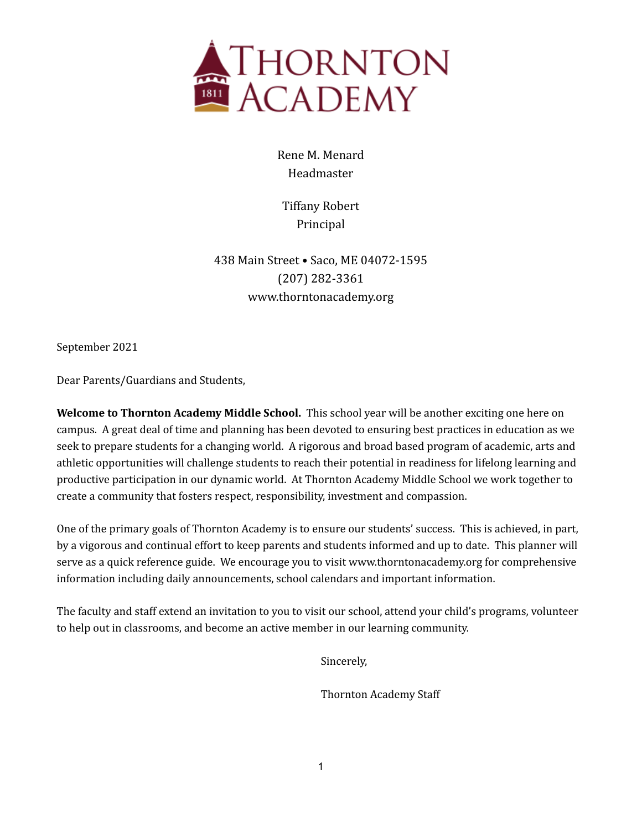

Rene M. Menard Headmaster

Tiffany Robert Principal

438 Main Street • Saco, ME 04072-1595 (207) 282-3361 www.thorntonacademy.org

September 2021

Dear Parents/Guardians and Students,

**Welcome to Thornton Academy Middle School.** This school year will be another exciting one here on campus. A great deal of time and planning has been devoted to ensuring best practices in education as we seek to prepare students for a changing world. A rigorous and broad based program of academic, arts and athletic opportunities will challenge students to reach their potential in readiness for lifelong learning and productive participation in our dynamic world. At Thornton Academy Middle School we work together to create a community that fosters respect, responsibility, investment and compassion.

One of the primary goals of Thornton Academy is to ensure our students' success. This is achieved, in part, by a vigorous and continual effort to keep parents and students informed and up to date. This planner will serve as a quick reference guide. We encourage you to visit www.thorntonacademy.org for comprehensive information including daily announcements, school calendars and important information.

The faculty and staff extend an invitation to you to visit our school, attend your child's programs, volunteer to help out in classrooms, and become an active member in our learning community.

Sincerely,

Thornton Academy Staff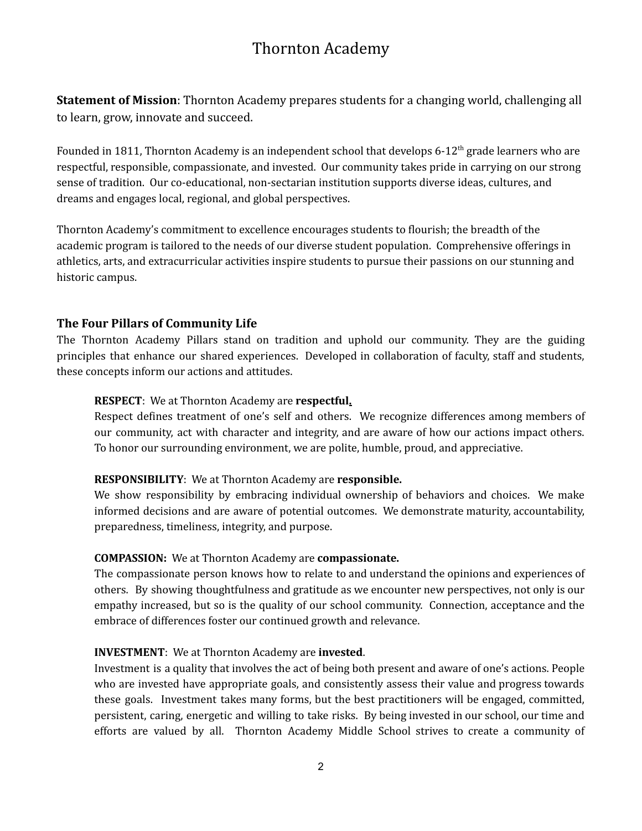# Thornton Academy

**Statement of Mission**: Thornton Academy prepares students for a changing world, challenging all to learn, grow, innovate and succeed.

Founded in 1811, Thornton Academy is an independent school that develops 6-12<sup>th</sup> grade learners who are respectful, responsible, compassionate, and invested. Our community takes pride in carrying on our strong sense of tradition. Our co-educational, non-sectarian institution supports diverse ideas, cultures, and dreams and engages local, regional, and global perspectives.

Thornton Academy's commitment to excellence encourages students to flourish; the breadth of the academic program is tailored to the needs of our diverse student population. Comprehensive offerings in athletics, arts, and extracurricular activities inspire students to pursue their passions on our stunning and historic campus.

#### **The Four Pillars of Community Life**

The Thornton Academy Pillars stand on tradition and uphold our community. They are the guiding principles that enhance our shared experiences. Developed in collaboration of faculty, staff and students, these concepts inform our actions and attitudes.

#### **RESPECT**: We at Thornton Academy are **respectful.**

Respect defines treatment of one's self and others. We recognize differences among members of our community, act with character and integrity, and are aware of how our actions impact others. To honor our surrounding environment, we are polite, humble, proud, and appreciative.

#### **RESPONSIBILITY**: We at Thornton Academy are **responsible.**

We show responsibility by embracing individual ownership of behaviors and choices. We make informed decisions and are aware of potential outcomes. We demonstrate maturity, accountability, preparedness, timeliness, integrity, and purpose.

#### **COMPASSION:** We at Thornton Academy are **compassionate.**

The compassionate person knows how to relate to and understand the opinions and experiences of others. By showing thoughtfulness and gratitude as we encounter new perspectives, not only is our empathy increased, but so is the quality of our school community. Connection, acceptance and the embrace of differences foster our continued growth and relevance.

#### **INVESTMENT**: We at Thornton Academy are **invested**.

Investment is a quality that involves the act of being both present and aware of one's actions. People who are invested have appropriate goals, and consistently assess their value and progress towards these goals. Investment takes many forms, but the best practitioners will be engaged, committed, persistent, caring, energetic and willing to take risks. By being invested in our school, our time and efforts are valued by all. Thornton Academy Middle School strives to create a community of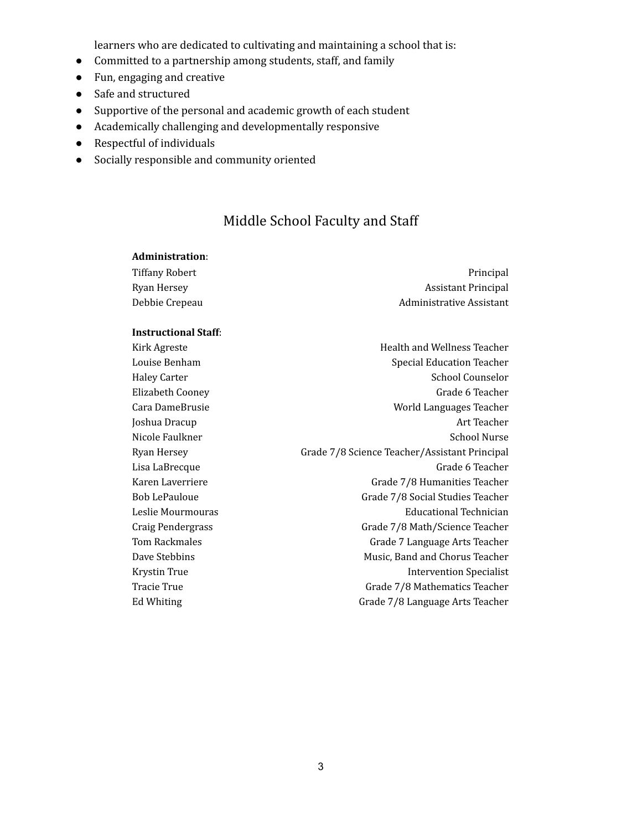learners who are dedicated to cultivating and maintaining a school that is:

- Committed to a partnership among students, staff, and family
- Fun, engaging and creative
- Safe and structured
- Supportive of the personal and academic growth of each student
- Academically challenging and developmentally responsive
- Respectful of individuals
- Socially responsible and community oriented

## Middle School Faculty and Staff

#### **Administration**:

| Tiffany Robert | Principal                  |
|----------------|----------------------------|
| Rvan Hersev    | <b>Assistant Principal</b> |
| Debbie Crepeau | Administrative Assistant   |

#### **Instructional Staff**:

Kirk Agreste Health and Wellness Teacher Louise Benham Special Education Teacher Haley Carter School Counselor Elizabeth Cooney **Grade 6 Teacher** Grade 6 Teacher Cara DameBrusie World Languages Teacher Joshua Dracup **Art Teacher** Art Teacher Nicole Faulkner School Nurse Ryan Hersey **Grade 7/8 Science Teacher/Assistant Principal** Lisa LaBrecque **Grade 6** Teacher Karen Laverriere Grade 7/8 Humanities Teacher Bob LePauloue Grade 7/8 Social Studies Teacher Leslie Mourmouras Educational Technician Craig Pendergrass Grade 7/8 Math/Science Teacher Tom Rackmales Grade 7 Language Arts Teacher Dave Stebbins **Music, Band and Chorus Teacher** Music, Band and Chorus Teacher Krystin True **Intervention** Specialist Tracie True Grade 7/8 Mathematics Teacher Ed Whiting Grade 7/8 Language Arts Teacher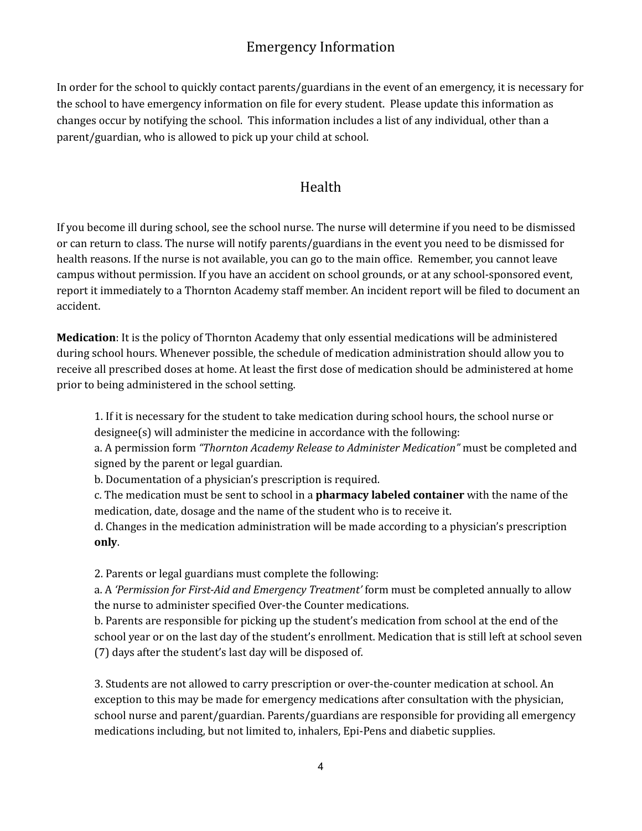# Emergency Information

In order for the school to quickly contact parents/guardians in the event of an emergency, it is necessary for the school to have emergency information on file for every student. Please update this information as changes occur by notifying the school. This information includes a list of any individual, other than a parent/guardian, who is allowed to pick up your child at school.

## Health

If you become ill during school, see the school nurse. The nurse will determine if you need to be dismissed or can return to class. The nurse will notify parents/guardians in the event you need to be dismissed for health reasons. If the nurse is not available, you can go to the main office. Remember, you cannot leave campus without permission. If you have an accident on school grounds, or at any school-sponsored event, report it immediately to a Thornton Academy staff member. An incident report will be filed to document an accident.

**Medication**: It is the policy of Thornton Academy that only essential medications will be administered during school hours. Whenever possible, the schedule of medication administration should allow you to receive all prescribed doses at home. At least the first dose of medication should be administered at home prior to being administered in the school setting.

1. If it is necessary for the student to take medication during school hours, the school nurse or designee(s) will administer the medicine in accordance with the following:

a. A permission form *"Thornton Academy Release to Administer Medication"* must be completed and signed by the parent or legal guardian.

b. Documentation of a physician's prescription is required.

c. The medication must be sent to school in a **pharmacy labeled container** with the name of the medication, date, dosage and the name of the student who is to receive it.

d. Changes in the medication administration will be made according to a physician's prescription **only**.

2. Parents or legal guardians must complete the following:

a. A *'Permission for First-Aid and Emergency Treatment'* form must be completed annually to allow the nurse to administer specified Over-the Counter medications.

b. Parents are responsible for picking up the student's medication from school at the end of the school year or on the last day of the student's enrollment. Medication that is still left at school seven (7) days after the student's last day will be disposed of.

3. Students are not allowed to carry prescription or over-the-counter medication at school. An exception to this may be made for emergency medications after consultation with the physician, school nurse and parent/guardian. Parents/guardians are responsible for providing all emergency medications including, but not limited to, inhalers, Epi-Pens and diabetic supplies.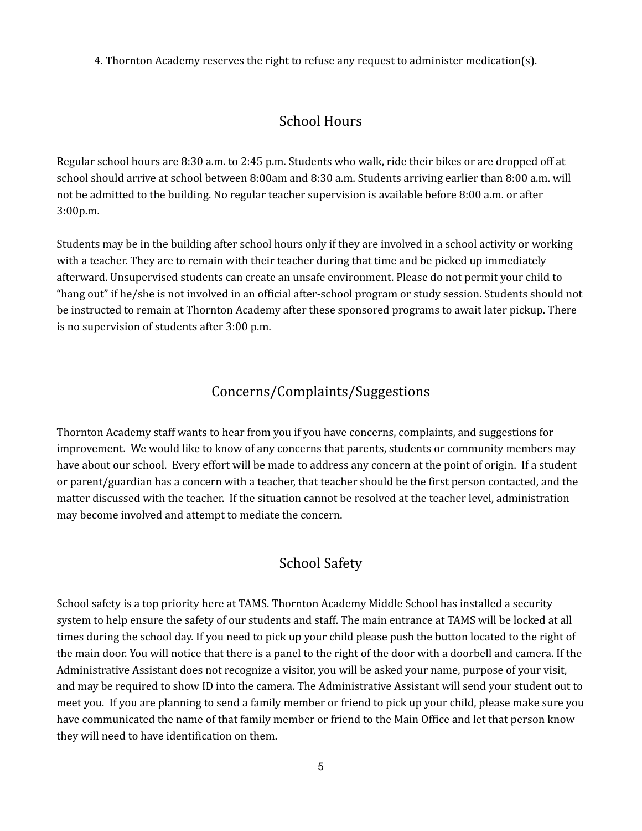4. Thornton Academy reserves the right to refuse any request to administer medication(s).

# School Hours

Regular school hours are 8:30 a.m. to 2:45 p.m. Students who walk, ride their bikes or are dropped off at school should arrive at school between 8:00am and 8:30 a.m. Students arriving earlier than 8:00 a.m. will not be admitted to the building. No regular teacher supervision is available before 8:00 a.m. or after 3:00p.m.

Students may be in the building after school hours only if they are involved in a school activity or working with a teacher. They are to remain with their teacher during that time and be picked up immediately afterward. Unsupervised students can create an unsafe environment. Please do not permit your child to "hang out" if he/she is not involved in an official after-school program or study session. Students should not be instructed to remain at Thornton Academy after these sponsored programs to await later pickup. There is no supervision of students after 3:00 p.m.

## Concerns/Complaints/Suggestions

Thornton Academy staff wants to hear from you if you have concerns, complaints, and suggestions for improvement. We would like to know of any concerns that parents, students or community members may have about our school. Every effort will be made to address any concern at the point of origin. If a student or parent/guardian has a concern with a teacher, that teacher should be the first person contacted, and the matter discussed with the teacher. If the situation cannot be resolved at the teacher level, administration may become involved and attempt to mediate the concern.

## School Safety

School safety is a top priority here at TAMS. Thornton Academy Middle School has installed a security system to help ensure the safety of our students and staff. The main entrance at TAMS will be locked at all times during the school day. If you need to pick up your child please push the button located to the right of the main door. You will notice that there is a panel to the right of the door with a doorbell and camera. If the Administrative Assistant does not recognize a visitor, you will be asked your name, purpose of your visit, and may be required to show ID into the camera. The Administrative Assistant will send your student out to meet you. If you are planning to send a family member or friend to pick up your child, please make sure you have communicated the name of that family member or friend to the Main Office and let that person know they will need to have identification on them.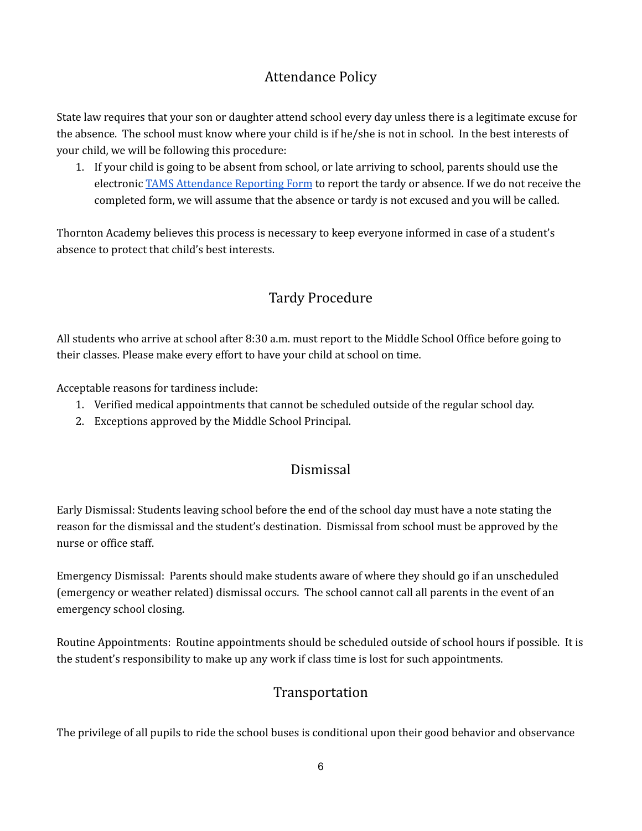# Attendance Policy

State law requires that your son or daughter attend school every day unless there is a legitimate excuse for the absence. The school must know where your child is if he/she is not in school. In the best interests of your child, we will be following this procedure:

1. If your child is going to be absent from school, or late arriving to school, parents should use the electronic TAMS [Attendance](https://docs.google.com/forms/d/e/1FAIpQLSdPkpDaNZxgqpFPWZrWo3LqnkaVToGVwINxnkDThnld5lL8uw/viewform) Reporting Form to report the tardy or absence. If we do not receive the completed form, we will assume that the absence or tardy is not excused and you will be called.

Thornton Academy believes this process is necessary to keep everyone informed in case of a student's absence to protect that child's best interests.

# Tardy Procedure

All students who arrive at school after 8:30 a.m. must report to the Middle School Office before going to their classes. Please make every effort to have your child at school on time.

Acceptable reasons for tardiness include:

- 1. Verified medical appointments that cannot be scheduled outside of the regular school day.
- 2. Exceptions approved by the Middle School Principal.

# Dismissal

Early Dismissal: Students leaving school before the end of the school day must have a note stating the reason for the dismissal and the student's destination. Dismissal from school must be approved by the nurse or office staff.

Emergency Dismissal: Parents should make students aware of where they should go if an unscheduled (emergency or weather related) dismissal occurs. The school cannot call all parents in the event of an emergency school closing.

Routine Appointments: Routine appointments should be scheduled outside of school hours if possible. It is the student's responsibility to make up any work if class time is lost for such appointments.

# Transportation

The privilege of all pupils to ride the school buses is conditional upon their good behavior and observance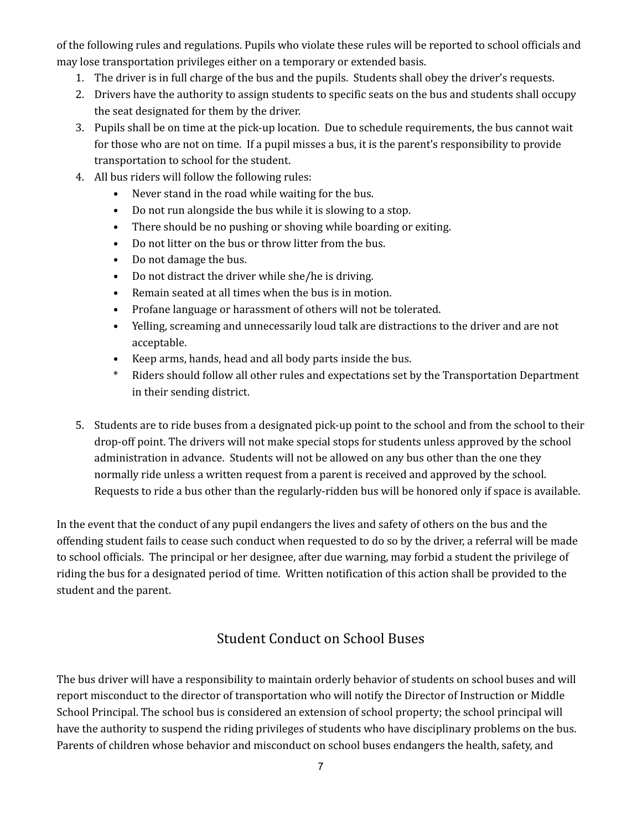of the following rules and regulations. Pupils who violate these rules will be reported to school officials and may lose transportation privileges either on a temporary or extended basis.

- 1. The driver is in full charge of the bus and the pupils. Students shall obey the driver's requests.
- 2. Drivers have the authority to assign students to specific seats on the bus and students shall occupy the seat designated for them by the driver.
- 3. Pupils shall be on time at the pick-up location. Due to schedule requirements, the bus cannot wait for those who are not on time. If a pupil misses a bus, it is the parent's responsibility to provide transportation to school for the student.
- 4. All bus riders will follow the following rules:
	- Never stand in the road while waiting for the bus.
	- Do not run alongside the bus while it is slowing to a stop.
	- There should be no pushing or shoving while boarding or exiting.
	- Do not litter on the bus or throw litter from the bus.
	- Do not damage the bus.
	- Do not distract the driver while she/he is driving.
	- Remain seated at all times when the bus is in motion.
	- Profane language or harassment of others will not be tolerated.
	- Yelling, screaming and unnecessarily loud talk are distractions to the driver and are not acceptable.
	- Keep arms, hands, head and all body parts inside the bus.
	- \* Riders should follow all other rules and expectations set by the Transportation Department in their sending district.
- 5. Students are to ride buses from a designated pick-up point to the school and from the school to their drop-off point. The drivers will not make special stops for students unless approved by the school administration in advance. Students will not be allowed on any bus other than the one they normally ride unless a written request from a parent is received and approved by the school. Requests to ride a bus other than the regularly-ridden bus will be honored only if space is available.

In the event that the conduct of any pupil endangers the lives and safety of others on the bus and the offending student fails to cease such conduct when requested to do so by the driver, a referral will be made to school officials. The principal or her designee, after due warning, may forbid a student the privilege of riding the bus for a designated period of time. Written notification of this action shall be provided to the student and the parent.

# Student Conduct on School Buses

The bus driver will have a responsibility to maintain orderly behavior of students on school buses and will report misconduct to the director of transportation who will notify the Director of Instruction or Middle School Principal. The school bus is considered an extension of school property; the school principal will have the authority to suspend the riding privileges of students who have disciplinary problems on the bus. Parents of children whose behavior and misconduct on school buses endangers the health, safety, and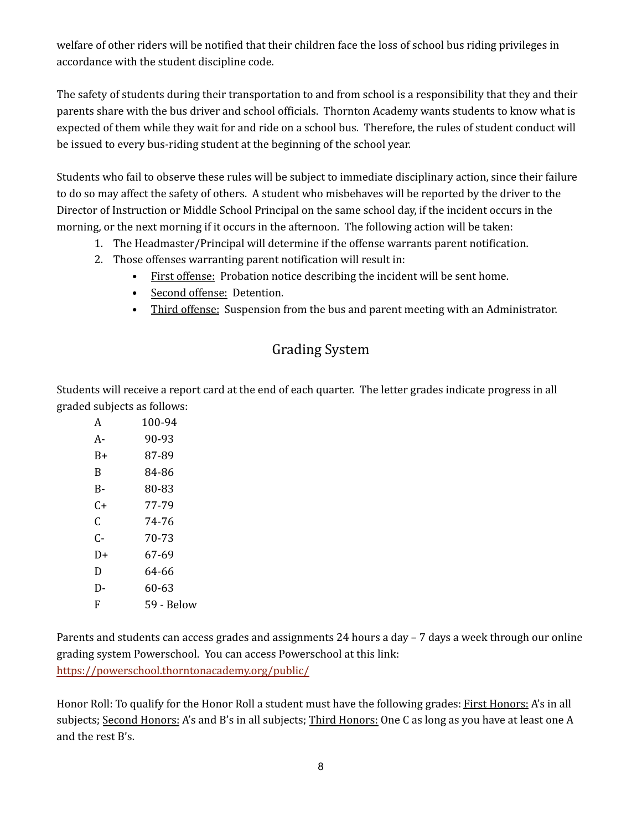welfare of other riders will be notified that their children face the loss of school bus riding privileges in accordance with the student discipline code.

The safety of students during their transportation to and from school is a responsibility that they and their parents share with the bus driver and school officials. Thornton Academy wants students to know what is expected of them while they wait for and ride on a school bus. Therefore, the rules of student conduct will be issued to every bus-riding student at the beginning of the school year.

Students who fail to observe these rules will be subject to immediate disciplinary action, since their failure to do so may affect the safety of others. A student who misbehaves will be reported by the driver to the Director of Instruction or Middle School Principal on the same school day, if the incident occurs in the morning, or the next morning if it occurs in the afternoon. The following action will be taken:

- 1. The Headmaster/Principal will determine if the offense warrants parent notification.
- 2. Those offenses warranting parent notification will result in:
	- First offense: Probation notice describing the incident will be sent home.
	- Second offense: Detention.
	- Third offense: Suspension from the bus and parent meeting with an Administrator.

# Grading System

Students will receive a report card at the end of each quarter. The letter grades indicate progress in all graded subjects as follows:

| A  | 100-94     |
|----|------------|
| A- | 90-93      |
| B+ | 87-89      |
| B  | 84-86      |
| B- | 80-83      |
| C+ | 77-79      |
| C  | 74-76      |
| C- | 70-73      |
| D+ | 67-69      |
| D  | 64-66      |
| D- | 60-63      |
| F  | 59 - Below |

Parents and students can access grades and assignments 24 hours a day – 7 days a week through our online grading system Powerschool. You can access Powerschool at this link: <https://powerschool.thorntonacademy.org/public/>

Honor Roll: To qualify for the Honor Roll a student must have the following grades: First Honors: A's in all subjects; Second Honors: A's and B's in all subjects; Third Honors: One C as long as you have at least one A and the rest B's.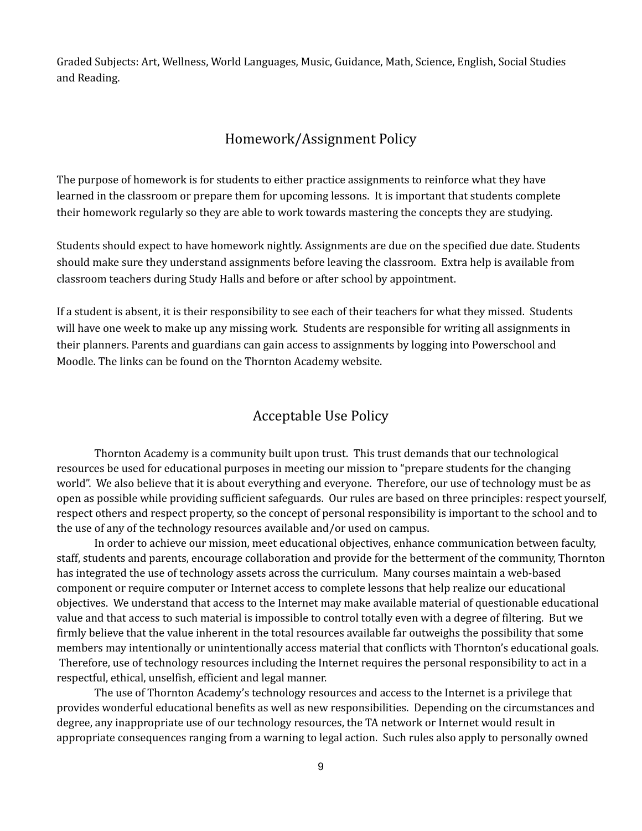Graded Subjects: Art, Wellness, World Languages, Music, Guidance, Math, Science, English, Social Studies and Reading.

### Homework/Assignment Policy

The purpose of homework is for students to either practice assignments to reinforce what they have learned in the classroom or prepare them for upcoming lessons. It is important that students complete their homework regularly so they are able to work towards mastering the concepts they are studying.

Students should expect to have homework nightly. Assignments are due on the specified due date. Students should make sure they understand assignments before leaving the classroom. Extra help is available from classroom teachers during Study Halls and before or after school by appointment.

If a student is absent, it is their responsibility to see each of their teachers for what they missed. Students will have one week to make up any missing work. Students are responsible for writing all assignments in their planners. Parents and guardians can gain access to assignments by logging into Powerschool and Moodle. The links can be found on the Thornton Academy website.

## Acceptable Use Policy

Thornton Academy is a community built upon trust. This trust demands that our technological resources be used for educational purposes in meeting our mission to "prepare students for the changing world". We also believe that it is about everything and everyone. Therefore, our use of technology must be as open as possible while providing sufficient safeguards. Our rules are based on three principles: respect yourself, respect others and respect property, so the concept of personal responsibility is important to the school and to the use of any of the technology resources available and/or used on campus.

In order to achieve our mission, meet educational objectives, enhance communication between faculty, staff, students and parents, encourage collaboration and provide for the betterment of the community, Thornton has integrated the use of technology assets across the curriculum. Many courses maintain a web-based component or require computer or Internet access to complete lessons that help realize our educational objectives. We understand that access to the Internet may make available material of questionable educational value and that access to such material is impossible to control totally even with a degree of filtering. But we firmly believe that the value inherent in the total resources available far outweighs the possibility that some members may intentionally or unintentionally access material that conflicts with Thornton's educational goals. Therefore, use of technology resources including the Internet requires the personal responsibility to act in a respectful, ethical, unselfish, efficient and legal manner.

The use of Thornton Academy's technology resources and access to the Internet is a privilege that provides wonderful educational benefits as well as new responsibilities. Depending on the circumstances and degree, any inappropriate use of our technology resources, the TA network or Internet would result in appropriate consequences ranging from a warning to legal action. Such rules also apply to personally owned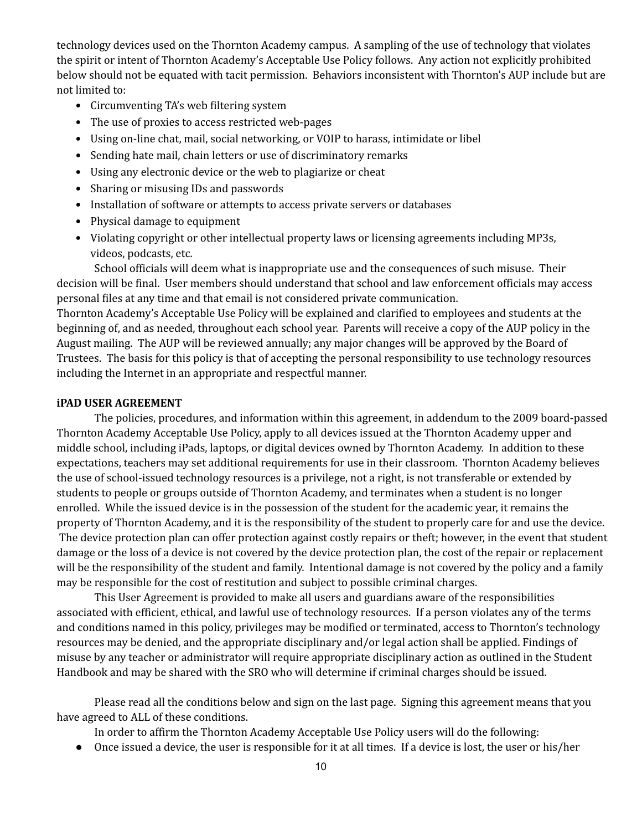technology devices used on the Thornton Academy campus. A sampling of the use of technology that violates the spirit or intent of Thornton Academy's Acceptable Use Policy follows. Any action not explicitly prohibited below should not be equated with tacit permission. Behaviors inconsistent with Thornton's AUP include but are not limited to:

- Circumventing TA's web filtering system
- The use of proxies to access restricted web-pages
- Using on-line chat, mail, social networking, or VOIP to harass, intimidate or libel
- Sending hate mail, chain letters or use of discriminatory remarks
- Using any electronic device or the web to plagiarize or cheat
- Sharing or misusing IDs and passwords
- Installation of software or attempts to access private servers or databases
- Physical damage to equipment
- Violating copyright or other intellectual property laws or licensing agreements including MP3s, videos, podcasts, etc.

School officials will deem what is inappropriate use and the consequences of such misuse. Their decision will be final. User members should understand that school and law enforcement officials may access personal files at any time and that email is not considered private communication.

Thornton Academy's Acceptable Use Policy will be explained and clarified to employees and students at the beginning of, and as needed, throughout each school year. Parents will receive a copy of the AUP policy in the August mailing. The AUP will be reviewed annually; any major changes will be approved by the Board of Trustees. The basis for this policy is that of accepting the personal responsibility to use technology resources including the Internet in an appropriate and respectful manner.

#### **iPAD USER AGREEMENT**

The policies, procedures, and information within this agreement, in addendum to the 2009 board-passed Thornton Academy Acceptable Use Policy, apply to all devices issued at the Thornton Academy upper and middle school, including iPads, laptops, or digital devices owned by Thornton Academy. In addition to these expectations, teachers may set additional requirements for use in their classroom. Thornton Academy believes the use of school-issued technology resources is a privilege, not a right, is not transferable or extended by students to people or groups outside of Thornton Academy, and terminates when a student is no longer enrolled. While the issued device is in the possession of the student for the academic year, it remains the property of Thornton Academy, and it is the responsibility of the student to properly care for and use the device. The device protection plan can offer protection against costly repairs or theft; however, in the event that student damage or the loss of a device is not covered by the device protection plan, the cost of the repair or replacement will be the responsibility of the student and family. Intentional damage is not covered by the policy and a family may be responsible for the cost of restitution and subject to possible criminal charges.

This User Agreement is provided to make all users and guardians aware of the responsibilities associated with efficient, ethical, and lawful use of technology resources. If a person violates any of the terms and conditions named in this policy, privileges may be modified or terminated, access to Thornton's technology resources may be denied, and the appropriate disciplinary and/or legal action shall be applied. Findings of misuse by any teacher or administrator will require appropriate disciplinary action as outlined in the Student Handbook and may be shared with the SRO who will determine if criminal charges should be issued.

Please read all the conditions below and sign on the last page. Signing this agreement means that you have agreed to ALL of these conditions.

In order to affirm the Thornton Academy Acceptable Use Policy users will do the following:

● Once issued a device, the user is responsible for it at all times. If a device is lost, the user or his/her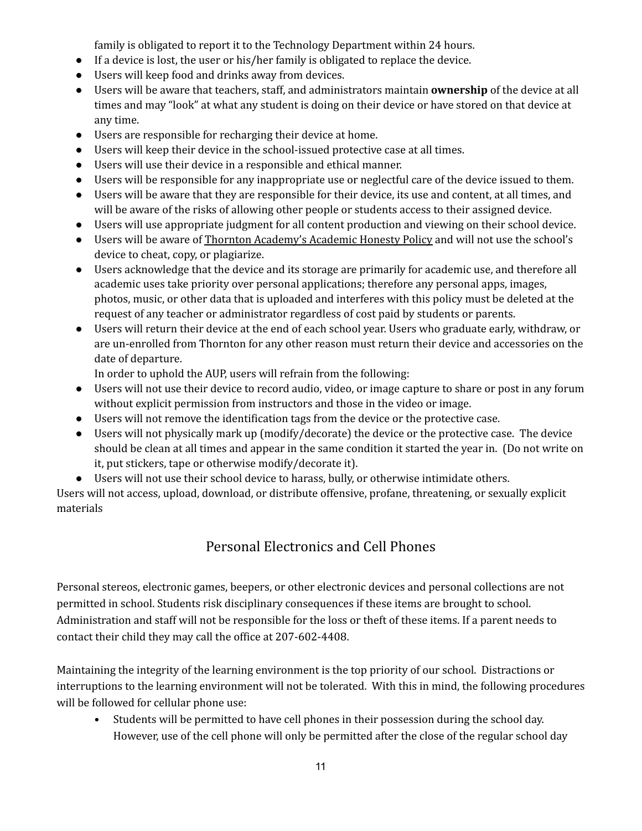family is obligated to report it to the Technology Department within 24 hours.

- If a device is lost, the user or his/her family is obligated to replace the device.
- Users will keep food and drinks away from devices.
- Users will be aware that teachers, staff, and administrators maintain **ownership** of the device at all times and may "look" at what any student is doing on their device or have stored on that device at any time.
- Users are responsible for recharging their device at home.
- Users will keep their device in the school-issued protective case at all times.
- Users will use their device in a responsible and ethical manner.
- Users will be responsible for any inappropriate use or neglectful care of the device issued to them.
- Users will be aware that they are responsible for their device, its use and content, at all times, and will be aware of the risks of allowing other people or students access to their assigned device.
- Users will use appropriate judgment for all content production and viewing on their school device.
- Users will be aware of Thornton Academy's Academic Honesty Policy and will not use the school's device to cheat, copy, or plagiarize.
- Users acknowledge that the device and its storage are primarily for academic use, and therefore all academic uses take priority over personal applications; therefore any personal apps, images, photos, music, or other data that is uploaded and interferes with this policy must be deleted at the request of any teacher or administrator regardless of cost paid by students or parents.
- Users will return their device at the end of each school year. Users who graduate early, withdraw, or are un-enrolled from Thornton for any other reason must return their device and accessories on the date of departure.

In order to uphold the AUP, users will refrain from the following:

- Users will not use their device to record audio, video, or image capture to share or post in any forum without explicit permission from instructors and those in the video or image.
- Users will not remove the identification tags from the device or the protective case.
- Users will not physically mark up (modify/decorate) the device or the protective case. The device should be clean at all times and appear in the same condition it started the year in. (Do not write on it, put stickers, tape or otherwise modify/decorate it).
- Users will not use their school device to harass, bully, or otherwise intimidate others.

Users will not access, upload, download, or distribute offensive, profane, threatening, or sexually explicit materials

# Personal Electronics and Cell Phones

Personal stereos, electronic games, beepers, or other electronic devices and personal collections are not permitted in school. Students risk disciplinary consequences if these items are brought to school. Administration and staff will not be responsible for the loss or theft of these items. If a parent needs to contact their child they may call the office at 207-602-4408.

Maintaining the integrity of the learning environment is the top priority of our school. Distractions or interruptions to the learning environment will not be tolerated. With this in mind, the following procedures will be followed for cellular phone use:

• Students will be permitted to have cell phones in their possession during the school day. However, use of the cell phone will only be permitted after the close of the regular school day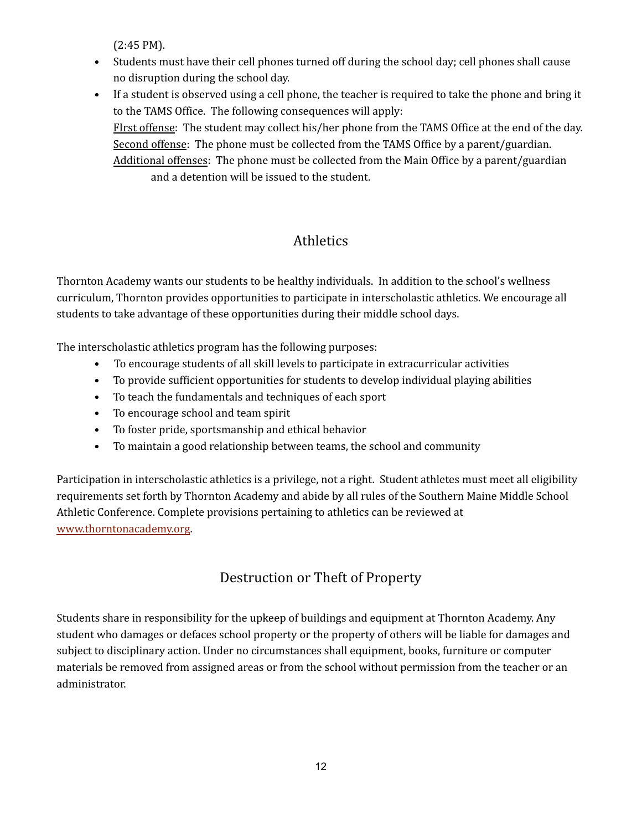(2:45 PM).

• Students must have their cell phones turned off during the school day; cell phones shall cause no disruption during the school day.

• If a student is observed using a cell phone, the teacher is required to take the phone and bring it to the TAMS Office. The following consequences will apply: FIrst offense: The student may collect his/her phone from the TAMS Office at the end of the day. Second offense: The phone must be collected from the TAMS Office by a parent/guardian. Additional offenses: The phone must be collected from the Main Office by a parent/guardian and a detention will be issued to the student.

# Athletics

Thornton Academy wants our students to be healthy individuals. In addition to the school's wellness curriculum, Thornton provides opportunities to participate in interscholastic athletics. We encourage all students to take advantage of these opportunities during their middle school days.

The interscholastic athletics program has the following purposes:

- To encourage students of all skill levels to participate in extracurricular activities
- To provide sufficient opportunities for students to develop individual playing abilities
- To teach the fundamentals and techniques of each sport
- To encourage school and team spirit
- To foster pride, sportsmanship and ethical behavior
- To maintain a good relationship between teams, the school and community

Participation in interscholastic athletics is a privilege, not a right. Student athletes must meet all eligibility requirements set forth by Thornton Academy and abide by all rules of the Southern Maine Middle School Athletic Conference. Complete provisions pertaining to athletics can be reviewed at [www.thorntonacademy.org](http://www.thorntonacademy.org).

# Destruction or Theft of Property

Students share in responsibility for the upkeep of buildings and equipment at Thornton Academy. Any student who damages or defaces school property or the property of others will be liable for damages and subject to disciplinary action. Under no circumstances shall equipment, books, furniture or computer materials be removed from assigned areas or from the school without permission from the teacher or an administrator.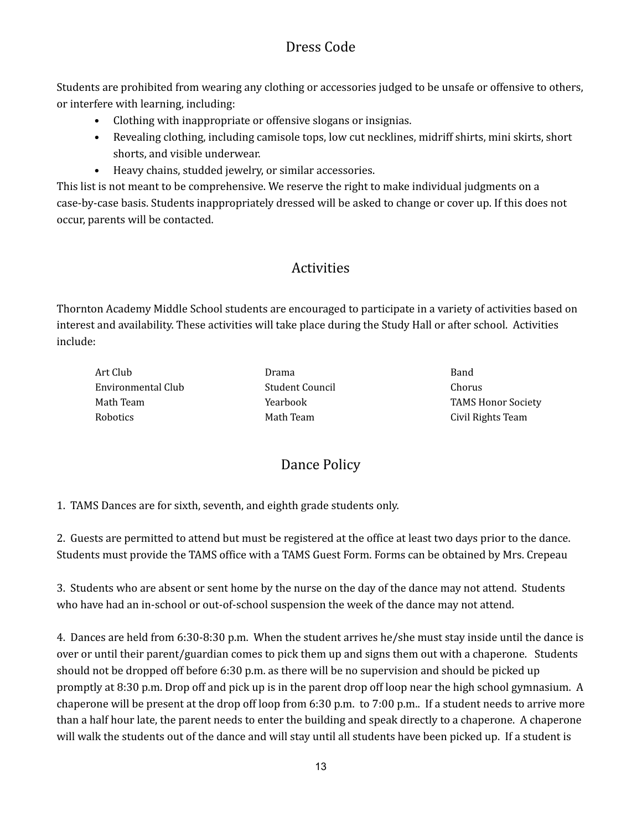# Dress Code

Students are prohibited from wearing any clothing or accessories judged to be unsafe or offensive to others, or interfere with learning, including:

- Clothing with inappropriate or offensive slogans or insignias.
- Revealing clothing, including camisole tops, low cut necklines, midriff shirts, mini skirts, short shorts, and visible underwear.
- Heavy chains, studded jewelry, or similar accessories.

This list is not meant to be comprehensive. We reserve the right to make individual judgments on a case-by-case basis. Students inappropriately dressed will be asked to change or cover up. If this does not occur, parents will be contacted.

# Activities

Thornton Academy Middle School students are encouraged to participate in a variety of activities based on interest and availability. These activities will take place during the Study Hall or after school. Activities include:

Art Club **Band** Band Environmental Club Student Council Chorus Robotics **Math Team** Math Team Civil Rights Team

Math Team **TAMS Honor Society Yearbook** TAMS Honor Society

# Dance Policy

1. TAMS Dances are for sixth, seventh, and eighth grade students only.

2. Guests are permitted to attend but must be registered at the office at least two days prior to the dance. Students must provide the TAMS office with a TAMS Guest Form. Forms can be obtained by Mrs. Crepeau

3. Students who are absent or sent home by the nurse on the day of the dance may not attend. Students who have had an in-school or out-of-school suspension the week of the dance may not attend.

4. Dances are held from 6:30-8:30 p.m. When the student arrives he/she must stay inside until the dance is over or until their parent/guardian comes to pick them up and signs them out with a chaperone. Students should not be dropped off before 6:30 p.m. as there will be no supervision and should be picked up promptly at 8:30 p.m. Drop off and pick up is in the parent drop off loop near the high school gymnasium. A chaperone will be present at the drop off loop from 6:30 p.m. to 7:00 p.m.. If a student needs to arrive more than a half hour late, the parent needs to enter the building and speak directly to a chaperone. A chaperone will walk the students out of the dance and will stay until all students have been picked up. If a student is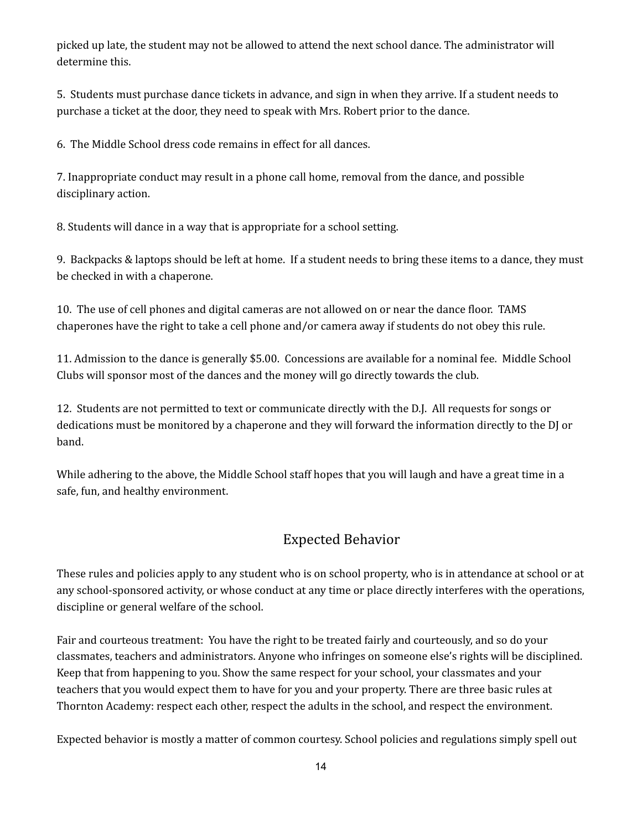picked up late, the student may not be allowed to attend the next school dance. The administrator will determine this.

5. Students must purchase dance tickets in advance, and sign in when they arrive. If a student needs to purchase a ticket at the door, they need to speak with Mrs. Robert prior to the dance.

6. The Middle School dress code remains in effect for all dances.

7. Inappropriate conduct may result in a phone call home, removal from the dance, and possible disciplinary action.

8. Students will dance in a way that is appropriate for a school setting.

9. Backpacks & laptops should be left at home. If a student needs to bring these items to a dance, they must be checked in with a chaperone.

10. The use of cell phones and digital cameras are not allowed on or near the dance floor. TAMS chaperones have the right to take a cell phone and/or camera away if students do not obey this rule.

11. Admission to the dance is generally \$5.00. Concessions are available for a nominal fee. Middle School Clubs will sponsor most of the dances and the money will go directly towards the club.

12. Students are not permitted to text or communicate directly with the D.J. All requests for songs or dedications must be monitored by a chaperone and they will forward the information directly to the DJ or band.

While adhering to the above, the Middle School staff hopes that you will laugh and have a great time in a safe, fun, and healthy environment.

# Expected Behavior

These rules and policies apply to any student who is on school property, who is in attendance at school or at any school-sponsored activity, or whose conduct at any time or place directly interferes with the operations, discipline or general welfare of the school.

Fair and courteous treatment: You have the right to be treated fairly and courteously, and so do your classmates, teachers and administrators. Anyone who infringes on someone else's rights will be disciplined. Keep that from happening to you. Show the same respect for your school, your classmates and your teachers that you would expect them to have for you and your property. There are three basic rules at Thornton Academy: respect each other, respect the adults in the school, and respect the environment.

Expected behavior is mostly a matter of common courtesy. School policies and regulations simply spell out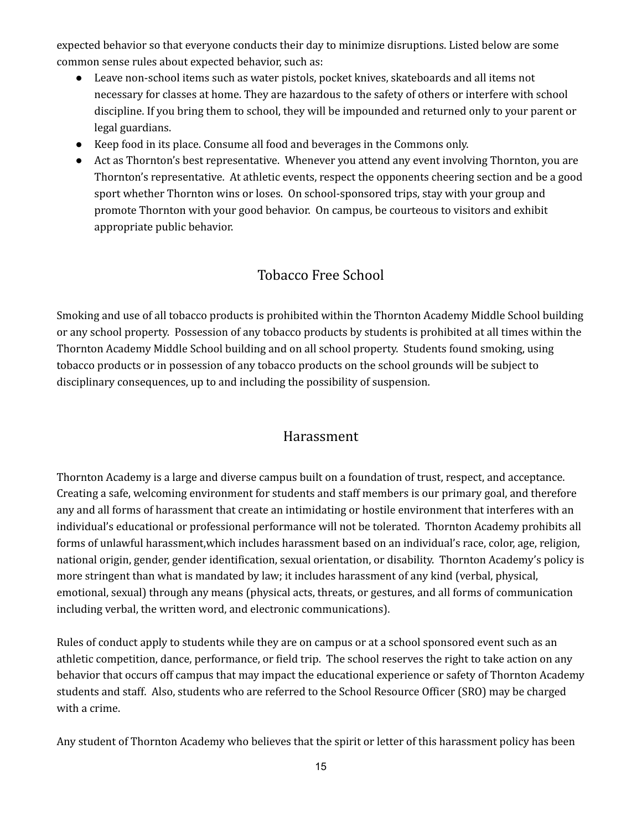expected behavior so that everyone conducts their day to minimize disruptions. Listed below are some common sense rules about expected behavior, such as:

- Leave non-school items such as water pistols, pocket knives, skateboards and all items not necessary for classes at home. They are hazardous to the safety of others or interfere with school discipline. If you bring them to school, they will be impounded and returned only to your parent or legal guardians.
- Keep food in its place. Consume all food and beverages in the Commons only.
- Act as Thornton's best representative. Whenever you attend any event involving Thornton, you are Thornton's representative. At athletic events, respect the opponents cheering section and be a good sport whether Thornton wins or loses. On school-sponsored trips, stay with your group and promote Thornton with your good behavior. On campus, be courteous to visitors and exhibit appropriate public behavior.

# Tobacco Free School

Smoking and use of all tobacco products is prohibited within the Thornton Academy Middle School building or any school property. Possession of any tobacco products by students is prohibited at all times within the Thornton Academy Middle School building and on all school property. Students found smoking, using tobacco products or in possession of any tobacco products on the school grounds will be subject to disciplinary consequences, up to and including the possibility of suspension.

# Harassment

Thornton Academy is a large and diverse campus built on a foundation of trust, respect, and acceptance. Creating a safe, welcoming environment for students and staff members is our primary goal, and therefore any and all forms of harassment that create an intimidating or hostile environment that interferes with an individual's educational or professional performance will not be tolerated. Thornton Academy prohibits all forms of unlawful harassment,which includes harassment based on an individual's race, color, age, religion, national origin, gender, gender identification, sexual orientation, or disability. Thornton Academy's policy is more stringent than what is mandated by law; it includes harassment of any kind (verbal, physical, emotional, sexual) through any means (physical acts, threats, or gestures, and all forms of communication including verbal, the written word, and electronic communications).

Rules of conduct apply to students while they are on campus or at a school sponsored event such as an athletic competition, dance, performance, or field trip. The school reserves the right to take action on any behavior that occurs off campus that may impact the educational experience or safety of Thornton Academy students and staff. Also, students who are referred to the School Resource Officer (SRO) may be charged with a crime.

Any student of Thornton Academy who believes that the spirit or letter of this harassment policy has been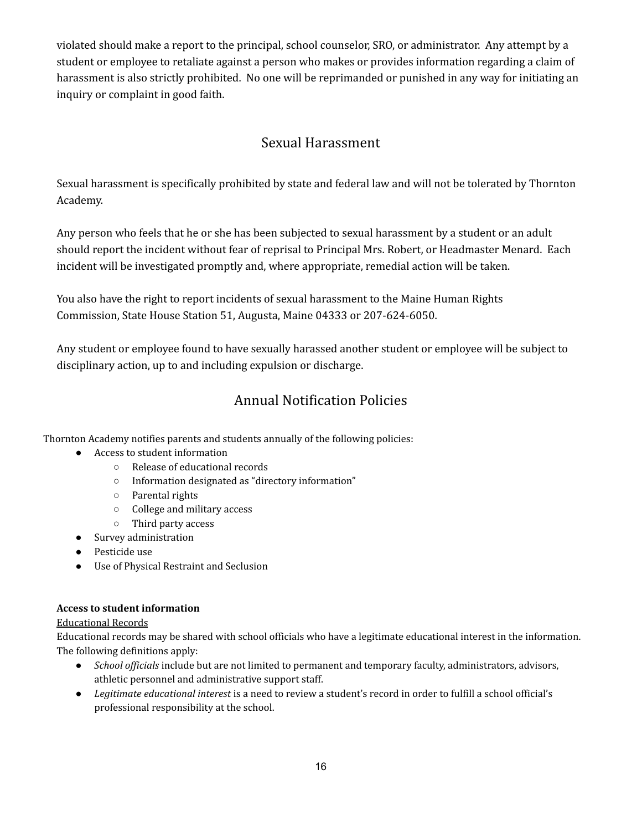violated should make a report to the principal, school counselor, SRO, or administrator. Any attempt by a student or employee to retaliate against a person who makes or provides information regarding a claim of harassment is also strictly prohibited. No one will be reprimanded or punished in any way for initiating an inquiry or complaint in good faith.

# Sexual Harassment

Sexual harassment is specifically prohibited by state and federal law and will not be tolerated by Thornton Academy.

Any person who feels that he or she has been subjected to sexual harassment by a student or an adult should report the incident without fear of reprisal to Principal Mrs. Robert, or Headmaster Menard. Each incident will be investigated promptly and, where appropriate, remedial action will be taken.

You also have the right to report incidents of sexual harassment to the Maine Human Rights Commission, State House Station 51, Augusta, Maine 04333 or 207-624-6050.

Any student or employee found to have sexually harassed another student or employee will be subject to disciplinary action, up to and including expulsion or discharge.

# Annual Notification Policies

Thornton Academy notifies parents and students annually of the following policies:

- Access to student information
	- Release of educational records
	- Information designated as "directory information"
	- Parental rights
	- College and military access
	- Third party access
- Survey administration
- Pesticide use
- Use of Physical Restraint and Seclusion

#### **Access to student information**

#### Educational Records

Educational records may be shared with school officials who have a legitimate educational interest in the information. The following definitions apply:

- *School of icials* include but are not limited to permanent and temporary faculty, administrators, advisors, athletic personnel and administrative support staff.
- *Legitimate educational interest* is a need to review a student's record in order to fulfill a school official's professional responsibility at the school.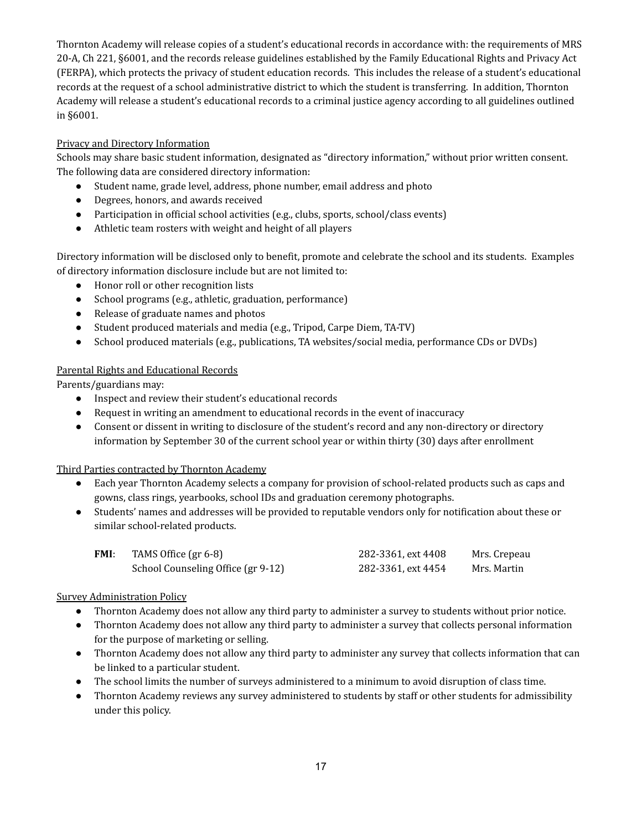Thornton Academy will release copies of a student's educational records in accordance with: the requirements of MRS 20-A, Ch 221, §6001, and the records release guidelines established by the Family Educational Rights and Privacy Act (FERPA), which protects the privacy of student education records. This includes the release of a student's educational records at the request of a school administrative district to which the student is transferring. In addition, Thornton Academy will release a student's educational records to a criminal justice agency according to all guidelines outlined in §6001.

#### Privacy and Directory Information

Schools may share basic student information, designated as "directory information," without prior written consent. The following data are considered directory information:

- Student name, grade level, address, phone number, email address and photo
- Degrees, honors, and awards received
- Participation in official school activities (e.g., clubs, sports, school/class events)
- Athletic team rosters with weight and height of all players

Directory information will be disclosed only to benefit, promote and celebrate the school and its students. Examples of directory information disclosure include but are not limited to:

- Honor roll or other recognition lists
- School programs (e.g., athletic, graduation, performance)
- Release of graduate names and photos
- Student produced materials and media (e.g., Tripod, Carpe Diem, TA-TV)
- School produced materials (e.g., publications, TA websites/social media, performance CDs or DVDs)

#### Parental Rights and Educational Records

Parents/guardians may:

- Inspect and review their student's educational records
- Request in writing an amendment to educational records in the event of inaccuracy
- Consent or dissent in writing to disclosure of the student's record and any non-directory or directory information by September 30 of the current school year or within thirty (30) days after enrollment

#### Third Parties contracted by Thornton Academy

- Each year Thornton Academy selects a company for provision of school-related products such as caps and gowns, class rings, yearbooks, school IDs and graduation ceremony photographs.
- Students' names and addresses will be provided to reputable vendors only for notification about these or similar school-related products.

| <b>FMI:</b> | TAMS Office $gr 6-8$               | 282-3361, ext 4408 | Mrs. Crepeau |
|-------------|------------------------------------|--------------------|--------------|
|             | School Counseling Office (gr 9-12) | 282-3361, ext 4454 | Mrs. Martin  |

#### Survey Administration Policy

- Thornton Academy does not allow any third party to administer a survey to students without prior notice.
- Thornton Academy does not allow any third party to administer a survey that collects personal information for the purpose of marketing or selling.
- Thornton Academy does not allow any third party to administer any survey that collects information that can be linked to a particular student.
- The school limits the number of surveys administered to a minimum to avoid disruption of class time.
- Thornton Academy reviews any survey administered to students by staff or other students for admissibility under this policy.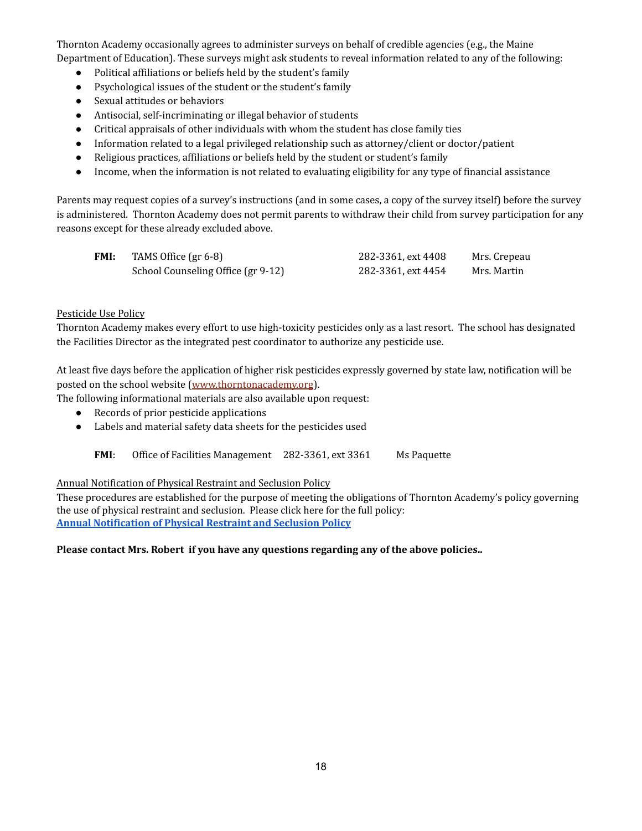Thornton Academy occasionally agrees to administer surveys on behalf of credible agencies (e.g., the Maine Department of Education). These surveys might ask students to reveal information related to any of the following:

- Political affiliations or beliefs held by the student's family
- Psychological issues of the student or the student's family
- Sexual attitudes or behaviors
- Antisocial, self-incriminating or illegal behavior of students
- Critical appraisals of other individuals with whom the student has close family ties
- Information related to a legal privileged relationship such as attorney/client or doctor/patient
- Religious practices, affiliations or beliefs held by the student or student's family
- Income, when the information is not related to evaluating eligibility for any type of financial assistance

Parents may request copies of a survey's instructions (and in some cases, a copy of the survey itself) before the survey is administered. Thornton Academy does not permit parents to withdraw their child from survey participation for any reasons except for these already excluded above.

| FMI: | TAMS Office (gr 6-8)               | 282-3361, ext 4408 | Mrs. Crepeau |
|------|------------------------------------|--------------------|--------------|
|      | School Counseling Office (gr 9-12) | 282-3361, ext 4454 | Mrs. Martin  |

#### Pesticide Use Policy

Thornton Academy makes every effort to use high-toxicity pesticides only as a last resort. The school has designated the Facilities Director as the integrated pest coordinator to authorize any pesticide use.

At least five days before the application of higher risk pesticides expressly governed by state law, notification will be posted on the school website [\(www.thorntonacademy.org](http://www.thorntonacademy.org)).

The following informational materials are also available upon request:

- Records of prior pesticide applications
- Labels and material safety data sheets for the pesticides used
	- **FMI:** Office of Facilities Management 282-3361, ext 3361 Ms Paquette

#### Annual Notification of Physical Restraint and Seclusion Policy

These procedures are established for the purpose of meeting the obligations of Thornton Academy's policy governing the use of physical restraint and seclusion. Please click here for the full policy: **Annual [Notification](https://drive.google.com/file/d/1Q1WBkT7GwVGrRMV6RyWdc4P_mbjlDeCa/view?usp=sharing) of Physical Restraint and Seclusion Policy**

#### **Please contact Mrs. Robert if you have any questions regarding any of the above policies..**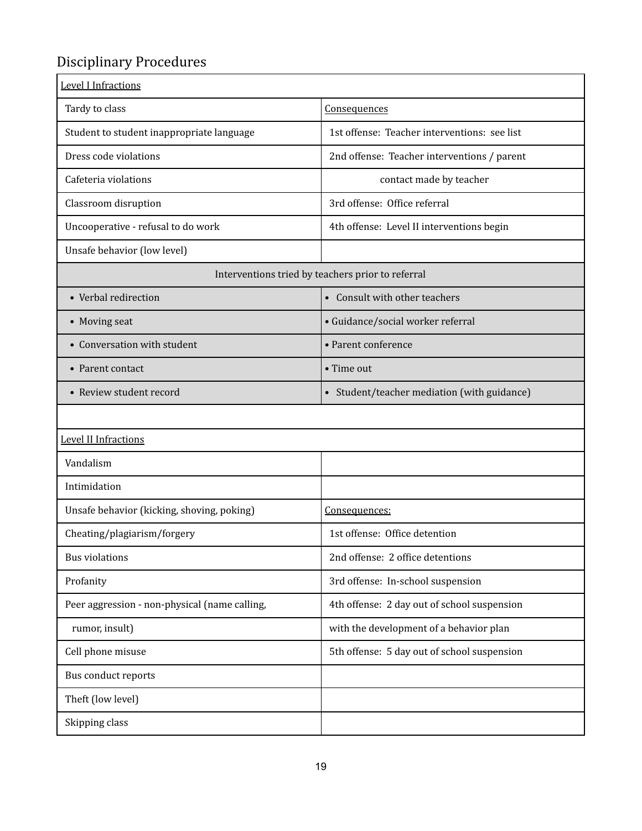# Disciplinary Procedures

| <b>Level I Infractions</b>                        |                                              |
|---------------------------------------------------|----------------------------------------------|
| Tardy to class                                    | Consequences                                 |
| Student to student inappropriate language         | 1st offense: Teacher interventions: see list |
| Dress code violations                             | 2nd offense: Teacher interventions / parent  |
| Cafeteria violations                              | contact made by teacher                      |
| Classroom disruption                              | 3rd offense: Office referral                 |
| Uncooperative - refusal to do work                | 4th offense: Level II interventions begin    |
| Unsafe behavior (low level)                       |                                              |
| Interventions tried by teachers prior to referral |                                              |
| • Verbal redirection                              | • Consult with other teachers                |
| • Moving seat                                     | · Guidance/social worker referral            |
| • Conversation with student                       | • Parent conference                          |
| • Parent contact                                  | • Time out                                   |
| • Review student record                           | • Student/teacher mediation (with guidance)  |
|                                                   |                                              |
| Level II Infractions                              |                                              |
| Vandalism                                         |                                              |
| Intimidation                                      |                                              |
| Unsafe behavior (kicking, shoving, poking)        | Consequences:                                |
| Cheating/plagiarism/forgery                       | 1st offense: Office detention                |
| <b>Bus violations</b>                             | 2nd offense: 2 office detentions             |
| Profanity                                         | 3rd offense: In-school suspension            |
| Peer aggression - non-physical (name calling,     | 4th offense: 2 day out of school suspension  |
| rumor, insult)                                    | with the development of a behavior plan      |
| Cell phone misuse                                 | 5th offense: 5 day out of school suspension  |
| Bus conduct reports                               |                                              |
| Theft (low level)                                 |                                              |
| Skipping class                                    |                                              |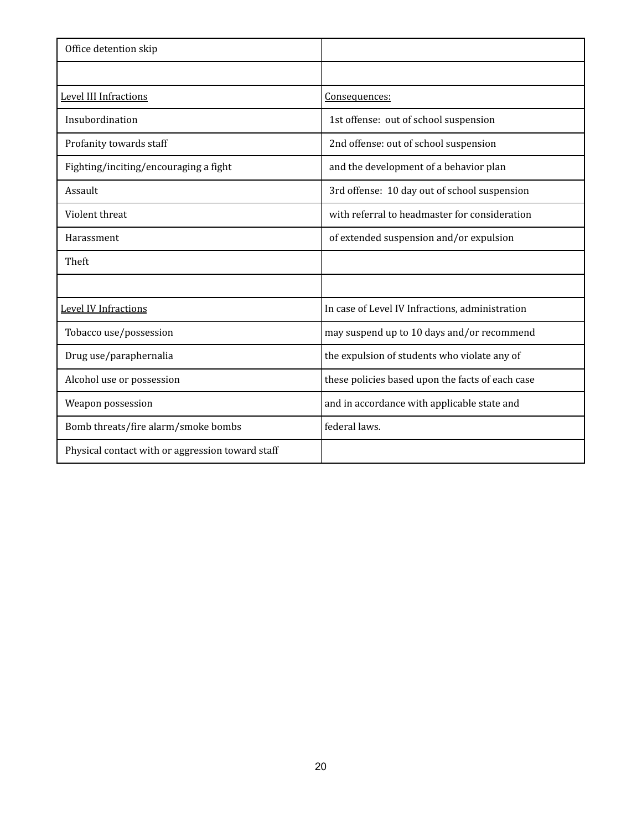| Office detention skip                            |                                                  |
|--------------------------------------------------|--------------------------------------------------|
|                                                  |                                                  |
| Level III Infractions                            | Consequences:                                    |
| Insubordination                                  | 1st offense: out of school suspension            |
| Profanity towards staff                          | 2nd offense: out of school suspension            |
| Fighting/inciting/encouraging a fight            | and the development of a behavior plan           |
| Assault                                          | 3rd offense: 10 day out of school suspension     |
| Violent threat                                   | with referral to headmaster for consideration    |
| Harassment                                       | of extended suspension and/or expulsion          |
| Theft                                            |                                                  |
|                                                  |                                                  |
| <b>Level IV Infractions</b>                      | In case of Level IV Infractions, administration  |
| Tobacco use/possession                           | may suspend up to 10 days and/or recommend       |
| Drug use/paraphernalia                           | the expulsion of students who violate any of     |
| Alcohol use or possession                        | these policies based upon the facts of each case |
| Weapon possession                                | and in accordance with applicable state and      |
| Bomb threats/fire alarm/smoke bombs              | federal laws.                                    |
| Physical contact with or aggression toward staff |                                                  |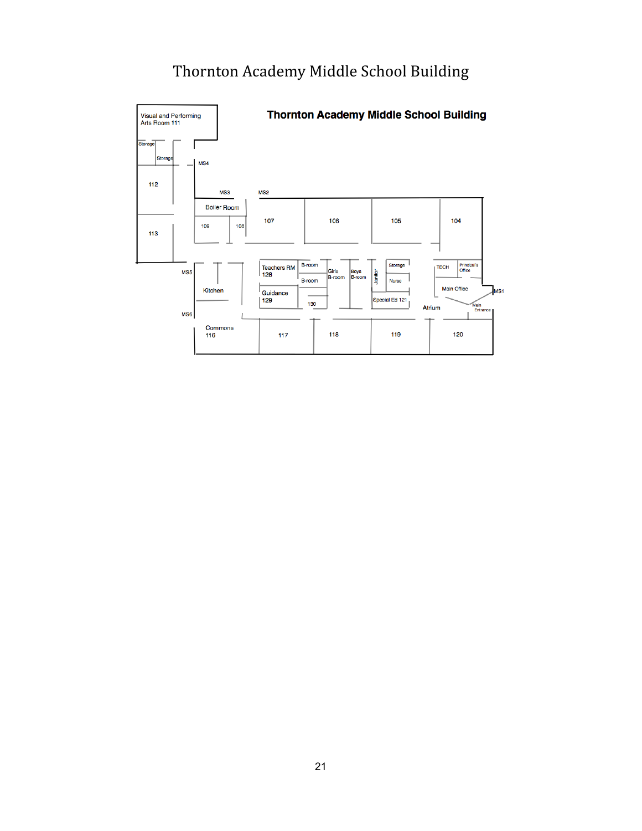# Thornton Academy Middle School Building

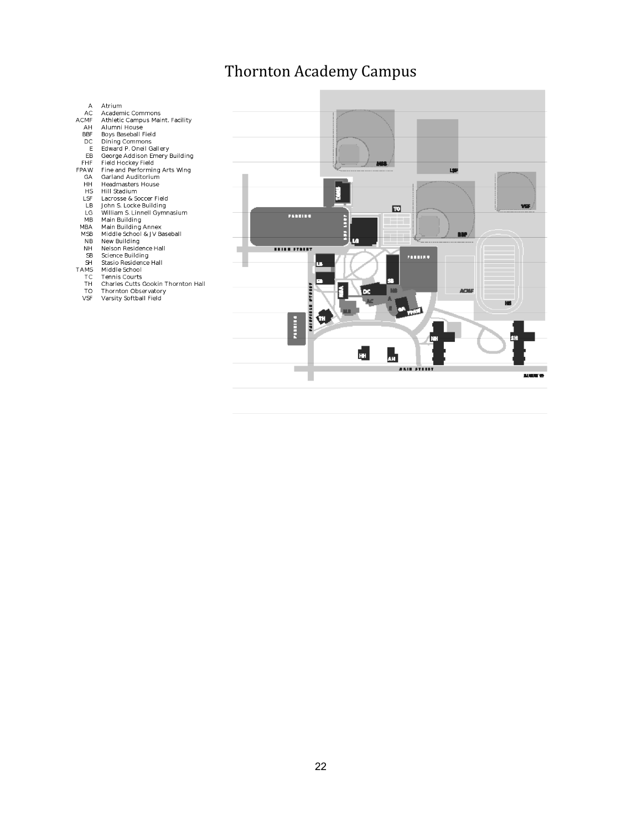# Thornton Academy Campus

# Atrium<br>Academic Commons<br>Athletic Campus Maint. Facility<br>Alumni House<br>Boys Baseball Field<br>Dining Commons<br>Giveral P. Onell Gallery<br>George Addison Emery Building<br>Field Hockey Field<br>Hieral Auditorium<br>Arian Garland Author<br>Hill  $\begin{array}{c}\n A \\
AC \\
AC\n\end{array}$ Atrium CM<br>AH<br>BBF<br>DC<br>E  $E\overline{B}$ EBF<br>FPAW GAHHS<br>LSF<br>LSF<br>LGF<br>MBA MBA<br>MSB  $NB$ NB<br>NH<br>SB<br>SH<br>SH<br>TA<br>TA<br>T<br>T<br>T<br>T<br>O<br>SF<br>T<br>O<br>SF Middle School<br>Tennis Courts<br>Charles Cutts Gookin Thornton Hall<br>Thornton Observatory<br>Varsity Softball Field

LSP  $\overline{\mathbf{E}}$ ...... E **BMP** <u>inian fransy</u> п ,,,,,,, ш **ADIF** DC. **Banche** ū E. AH. i. **BARBARYAN**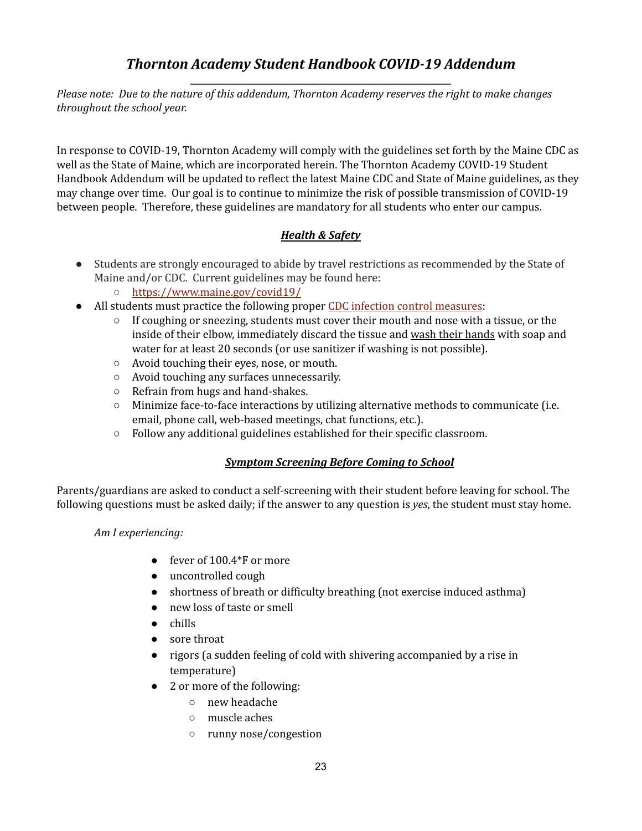## *Thornton Academy Student Handbook COVID-19 Addendum* **\_\_\_\_\_\_\_\_\_\_\_\_\_\_\_\_\_\_\_\_\_\_\_\_\_\_\_\_\_\_\_\_\_\_\_\_\_\_\_\_\_\_\_\_\_\_\_\_\_\_\_\_\_\_\_\_\_\_\_\_\_**

*Please note: Due to the nature of this addendum, Thornton Academy reserves the right to make changes throughout the school year.*

In response to COVID-19, Thornton Academy will comply with the guidelines set forth by the Maine CDC as well as the State of Maine, which are incorporated herein. The Thornton Academy COVID-19 Student Handbook Addendum will be updated to reflect the latest Maine CDC and State of Maine guidelines, as they may change over time. Our goal is to continue to minimize the risk of possible transmission of COVID-19 between people. Therefore, these guidelines are mandatory for all students who enter our campus.

### *Health & Safety*

- Students are strongly encouraged to abide by travel restrictions as recommended by the State of Maine and/or CDC. Current guidelines may be found here:
	- <https://www.maine.gov/covid19/>
- All students must practice the following proper CDC infection control [measures](https://www.cdc.gov/healthywater/hygiene/etiquette/coughing_sneezing.html#:~:text=To%20help%20stop%20the%20spread,your%20elbow%2C%20not%20your%20hands):
	- $\circ$  If coughing or sneezing, students must cover their mouth and nose with a tissue, or the inside of their elbow, immediately discard the tissue and wash their hands with soap and water for at least 20 seconds (or use sanitizer if washing is not possible).
	- Avoid touching their eyes, nose, or mouth.
	- Avoid touching any surfaces unnecessarily.
	- Refrain from hugs and hand-shakes.
	- $\circ$  Minimize face-to-face interactions by utilizing alternative methods to communicate (i.e. email, phone call, web-based meetings, chat functions, etc.).
	- Follow any additional guidelines established for their specific classroom.

### *Symptom Screening Before Coming to School*

Parents/guardians are asked to conduct a self-screening with their student before leaving for school. The following questions must be asked daily; if the answer to any question is *yes*, the student must stay home.

#### *Am I experiencing:*

- fever of  $100.4*$ F or more
- uncontrolled cough
- shortness of breath or difficulty breathing (not exercise induced asthma)
- new loss of taste or smell
- chills
- sore throat
- rigors (a sudden feeling of cold with shivering accompanied by a rise in temperature)
- 2 or more of the following:
	- new headache
	- muscle aches
	- runny nose/congestion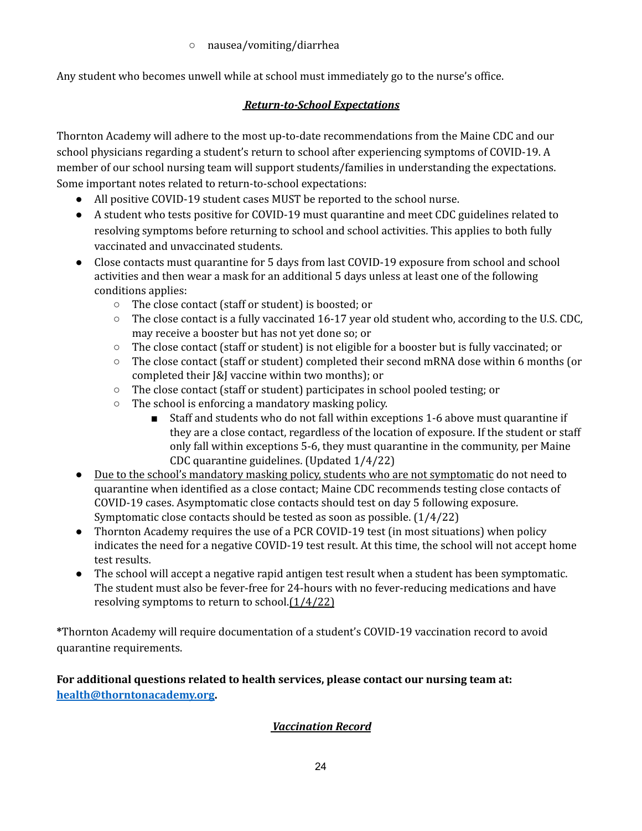○ nausea/vomiting/diarrhea

Any student who becomes unwell while at school must immediately go to the nurse's office.

### *Return-to-School Expectations*

Thornton Academy will adhere to the most up-to-date recommendations from the Maine CDC and our school physicians regarding a student's return to school after experiencing symptoms of COVID-19. A member of our school nursing team will support students/families in understanding the expectations. Some important notes related to return-to-school expectations:

- All positive COVID-19 student cases MUST be reported to the school nurse.
- A student who tests positive for COVID-19 must quarantine and meet CDC guidelines related to resolving symptoms before returning to school and school activities. This applies to both fully vaccinated and unvaccinated students.
- Close contacts must quarantine for 5 days from last COVID-19 exposure from school and school activities and then wear a mask for an additional 5 days unless at least one of the following conditions applies:
	- The close contact (staff or student) is boosted; or
	- $\circ$  The close contact is a fully vaccinated 16-17 year old student who, according to the U.S. CDC, may receive a booster but has not yet done so; or
	- The close contact (staff or student) is not eligible for a booster but is fully vaccinated; or
	- The close contact (staff or student) completed their second mRNA dose within 6 months (or completed their J&J vaccine within two months); or
	- The close contact (staff or student) participates in school pooled testing; or
	- The school is enforcing a mandatory masking policy.
		- Staff and students who do not fall within exceptions 1-6 above must quarantine if they are a close contact, regardless of the location of exposure. If the student or staff only fall within exceptions 5-6, they must quarantine in the community, per Maine CDC quarantine guidelines. (Updated 1/4/22)
- Due to the school's mandatory masking policy, students who are not symptomatic do not need to quarantine when identified as a close contact; Maine CDC recommends testing close contacts of COVID-19 cases. Asymptomatic close contacts should test on day 5 following exposure. Symptomatic close contacts should be tested as soon as possible. (1/4/22)
- Thornton Academy requires the use of a PCR COVID-19 test (in most situations) when policy indicates the need for a negative COVID-19 test result. At this time, the school will not accept home test results.
- The school will accept a negative rapid antigen test result when a student has been symptomatic. The student must also be fever-free for 24-hours with no fever-reducing medications and have resolving symptoms to return to school.<sup>[1/4/22]</sup>

**\***Thornton Academy will require documentation of a student's COVID-19 vaccination record to avoid quarantine requirements.

**For additional questions related to health services, please contact our nursing team at: [health@thorntonacademy.org.](mailto:health@thorntonacademy.org)**

## *Vaccination Record*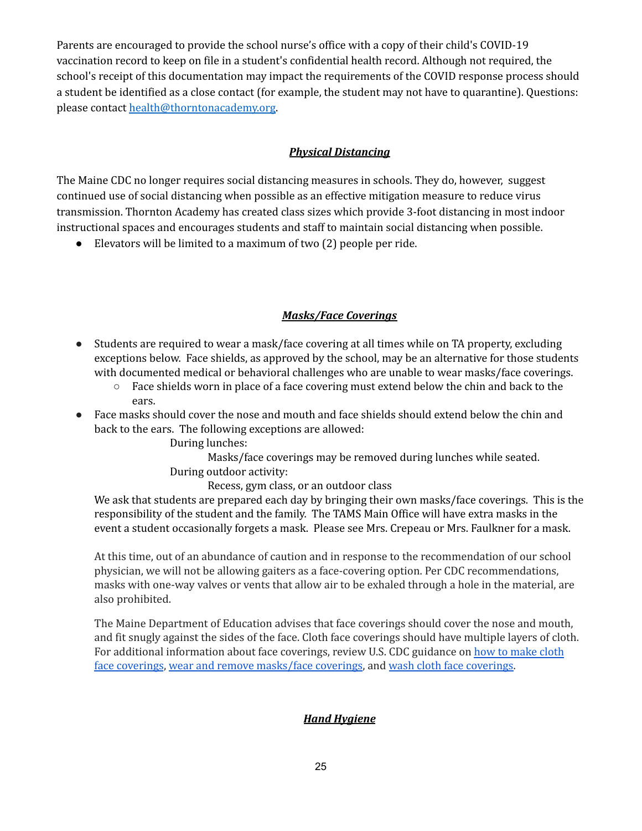Parents are encouraged to provide the school nurse's office with a copy of their child's COVID-19 vaccination record to keep on file in a student's confidential health record. Although not required, the school's receipt of this documentation may impact the requirements of the COVID response process should a student be identified as a close contact (for example, the student may not have to quarantine). Questions: please contact [health@thorntonacademy.org.](mailto:health@thorntonacademy.org)

### *Physical Distancing*

The Maine CDC no longer requires social distancing measures in schools. They do, however, suggest continued use of social distancing when possible as an effective mitigation measure to reduce virus transmission. Thornton Academy has created class sizes which provide 3-foot distancing in most indoor instructional spaces and encourages students and staff to maintain social distancing when possible.

● Elevators will be limited to a maximum of two (2) people per ride.

### *Masks/Face Coverings*

- Students are required to wear a mask/face covering at all times while on TA property, excluding exceptions below. Face shields, as approved by the school, may be an alternative for those students with documented medical or behavioral challenges who are unable to wear masks/face coverings.
	- $\circ$  Face shields worn in place of a face covering must extend below the chin and back to the ears.
- Face masks should cover the nose and mouth and face shields should extend below the chin and back to the ears. The following exceptions are allowed:

During lunches:

Masks/face coverings may be removed during lunches while seated. During outdoor activity:

Recess, gym class, or an outdoor class

We ask that students are prepared each day by bringing their own masks/face coverings. This is the responsibility of the student and the family. The TAMS Main Office will have extra masks in the event a student occasionally forgets a mask. Please see Mrs. Crepeau or Mrs. Faulkner for a mask.

At this time, out of an abundance of caution and in response to the recommendation of our school physician, we will not be allowing gaiters as a face-covering option. Per CDC recommendations, masks with one-way valves or vents that allow air to be exhaled through a hole in the material, are also prohibited.

The Maine Department of Education advises that face coverings should cover the nose and mouth, and fit snugly against the sides of the face. Cloth face coverings should have multiple layers of cloth. For additional information about face coverings, review U.S. CDC guidance on how to [make](https://www.cdc.gov/coronavirus/2019-ncov/prevent-getting-sick/how-to-make-cloth-face-covering.html) cloth face [coverings](https://www.cdc.gov/coronavirus/2019-ncov/prevent-getting-sick/how-to-make-cloth-face-covering.html), wear and remove [masks/face](https://www.cdc.gov/coronavirus/2019-ncov/prevent-getting-sick/how-to-wear-cloth-face-coverings.html) coverings, and wash cloth face [coverings.](https://www.cdc.gov/coronavirus/2019-ncov/prevent-getting-sick/how-to-wash-cloth-face-coverings.html)

### *Hand Hygiene*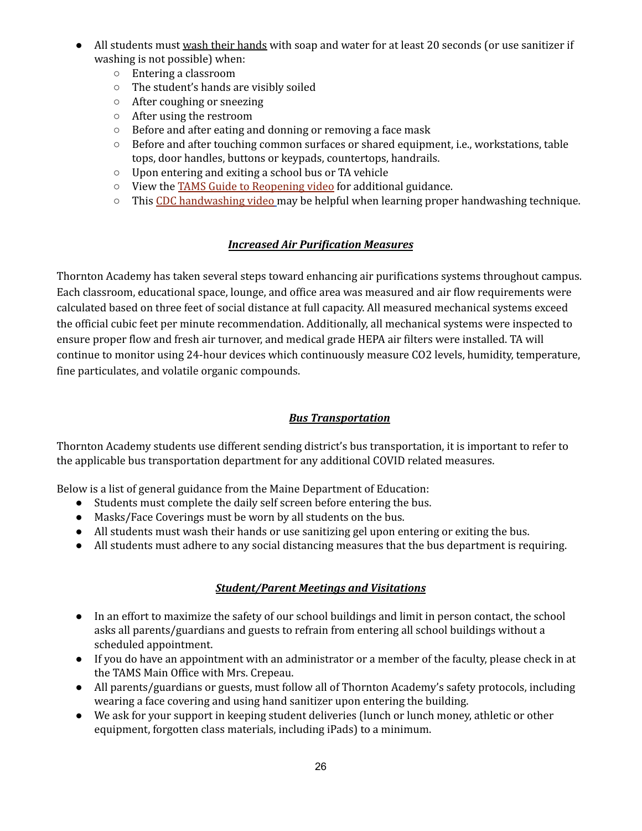- All students must wash their hands with soap and water for at least 20 seconds (or use sanitizer if washing is not possible) when:
	- Entering a classroom
	- The student's hands are visibly soiled
	- After coughing or sneezing
	- After using the restroom
	- Before and after eating and donning or removing a face mask
	- Before and after touching common surfaces or shared equipment, i.e., workstations, table tops, door handles, buttons or keypads, countertops, handrails.
	- Upon entering and exiting a school bus or TA vehicle
	- View the TAMS Guide to [Reopening](https://drive.google.com/file/d/1o8DI2TcURuO80zhF9l4Nxsr9LKUQ8q0n/view?ts=5f3f2d1d) video for additional guidance.
	- This CDC [handwashing](https://www.youtube.com/watch?v=d914EnpU4Fo) video may be helpful when learning proper handwashing technique.

### *Increased Air Purification Measures*

Thornton Academy has taken several steps toward enhancing air purifications systems throughout campus. Each classroom, educational space, lounge, and office area was measured and air flow requirements were calculated based on three feet of social distance at full capacity. All measured mechanical systems exceed the official cubic feet per minute recommendation. Additionally, all mechanical systems were inspected to ensure proper flow and fresh air turnover, and medical grade HEPA air filters were installed. TA will continue to monitor using 24-hour devices which continuously measure CO2 levels, humidity, temperature, fine particulates, and volatile organic compounds.

### *Bus Transportation*

Thornton Academy students use different sending district's bus transportation, it is important to refer to the applicable bus transportation department for any additional COVID related measures.

Below is a list of general guidance from the Maine Department of Education:

- Students must complete the daily self screen before entering the bus.
- Masks/Face Coverings must be worn by all students on the bus.
- All students must wash their hands or use sanitizing gel upon entering or exiting the bus.
- All students must adhere to any social distancing measures that the bus department is requiring.

### *Student/Parent Meetings and Visitations*

- In an effort to maximize the safety of our school buildings and limit in person contact, the school asks all parents/guardians and guests to refrain from entering all school buildings without a scheduled appointment.
- If you do have an appointment with an administrator or a member of the faculty, please check in at the TAMS Main Office with Mrs. Crepeau.
- All parents/guardians or guests, must follow all of Thornton Academy's safety protocols, including wearing a face covering and using hand sanitizer upon entering the building.
- We ask for your support in keeping student deliveries (lunch or lunch money, athletic or other equipment, forgotten class materials, including iPads) to a minimum.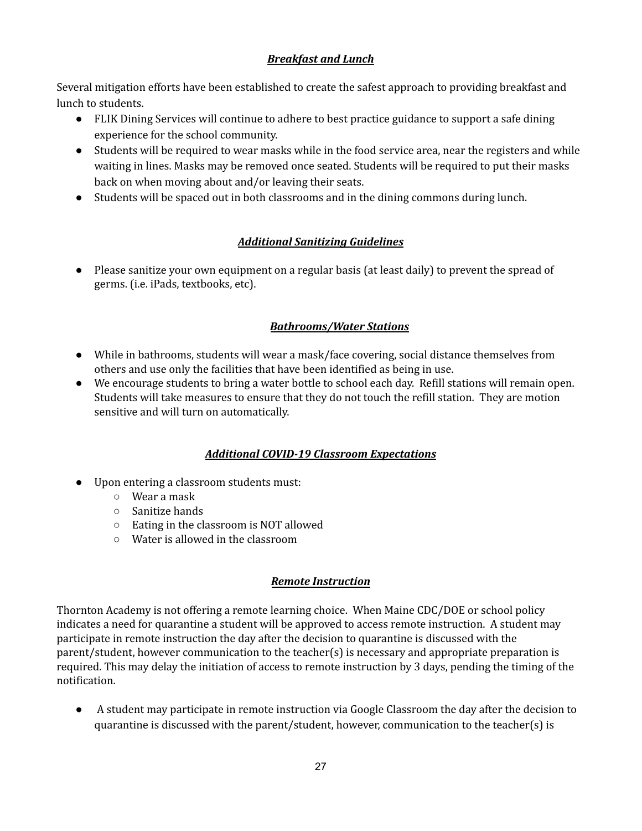### *Breakfast and Lunch*

Several mitigation efforts have been established to create the safest approach to providing breakfast and lunch to students.

- FLIK Dining Services will continue to adhere to best practice guidance to support a safe dining experience for the school community.
- Students will be required to wear masks while in the food service area, near the registers and while waiting in lines. Masks may be removed once seated. Students will be required to put their masks back on when moving about and/or leaving their seats.
- Students will be spaced out in both classrooms and in the dining commons during lunch.

### *Additional Sanitizing Guidelines*

● Please sanitize your own equipment on a regular basis (at least daily) to prevent the spread of germs. (i.e. iPads, textbooks, etc).

### *Bathrooms/Water Stations*

- While in bathrooms, students will wear a mask/face covering, social distance themselves from others and use only the facilities that have been identified as being in use.
- We encourage students to bring a water bottle to school each day. Refill stations will remain open. Students will take measures to ensure that they do not touch the refill station. They are motion sensitive and will turn on automatically.

### *Additional COVID-19 Classroom Expectations*

- Upon entering a classroom students must:
	- Wear a mask
	- Sanitize hands
	- Eating in the classroom is NOT allowed
	- Water is allowed in the classroom

#### *Remote Instruction*

Thornton Academy is not offering a remote learning choice. When Maine CDC/DOE or school policy indicates a need for quarantine a student will be approved to access remote instruction. A student may participate in remote instruction the day after the decision to quarantine is discussed with the parent/student, however communication to the teacher(s) is necessary and appropriate preparation is required. This may delay the initiation of access to remote instruction by 3 days, pending the timing of the notification.

● A student may participate in remote instruction via Google Classroom the day after the decision to quarantine is discussed with the parent/student, however, communication to the teacher(s) is